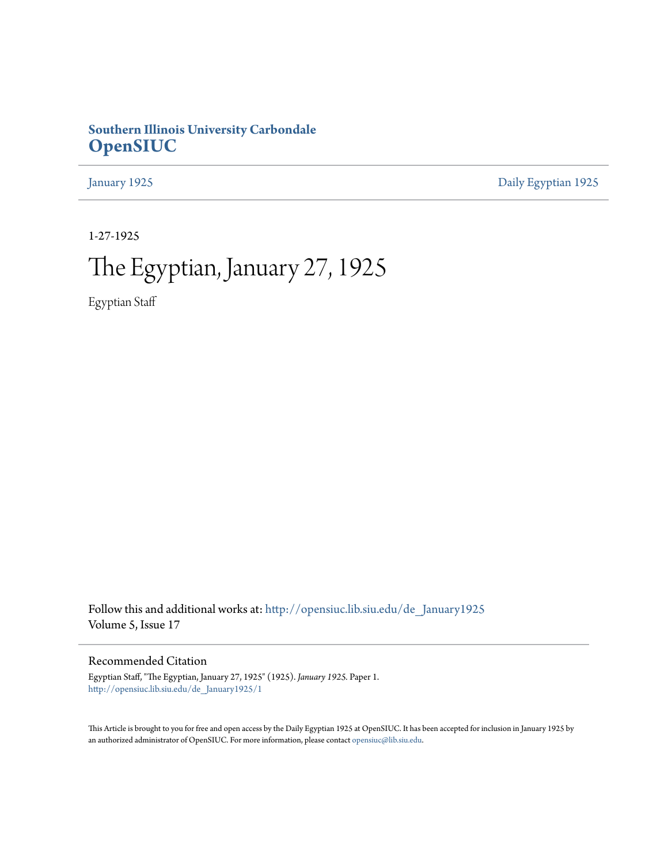### **Southern Illinois University Carbondale [OpenSIUC](http://opensiuc.lib.siu.edu?utm_source=opensiuc.lib.siu.edu%2Fde_January1925%2F1&utm_medium=PDF&utm_campaign=PDFCoverPages)**

[January 1925](http://opensiuc.lib.siu.edu/de_January1925?utm_source=opensiuc.lib.siu.edu%2Fde_January1925%2F1&utm_medium=PDF&utm_campaign=PDFCoverPages) [Daily Egyptian 1925](http://opensiuc.lib.siu.edu/de_1925?utm_source=opensiuc.lib.siu.edu%2Fde_January1925%2F1&utm_medium=PDF&utm_campaign=PDFCoverPages)

1-27-1925

## The Egyptian, January 27, 1925

Egyptian Staff

Follow this and additional works at: [http://opensiuc.lib.siu.edu/de\\_January1925](http://opensiuc.lib.siu.edu/de_January1925?utm_source=opensiuc.lib.siu.edu%2Fde_January1925%2F1&utm_medium=PDF&utm_campaign=PDFCoverPages) Volume 5, Issue 17

Recommended Citation

Egyptian Staff, "The Egyptian, January 27, 1925" (1925). *January 1925.* Paper 1. [http://opensiuc.lib.siu.edu/de\\_January1925/1](http://opensiuc.lib.siu.edu/de_January1925/1?utm_source=opensiuc.lib.siu.edu%2Fde_January1925%2F1&utm_medium=PDF&utm_campaign=PDFCoverPages)

This Article is brought to you for free and open access by the Daily Egyptian 1925 at OpenSIUC. It has been accepted for inclusion in January 1925 by an authorized administrator of OpenSIUC. For more information, please contact [opensiuc@lib.siu.edu.](mailto:opensiuc@lib.siu.edu)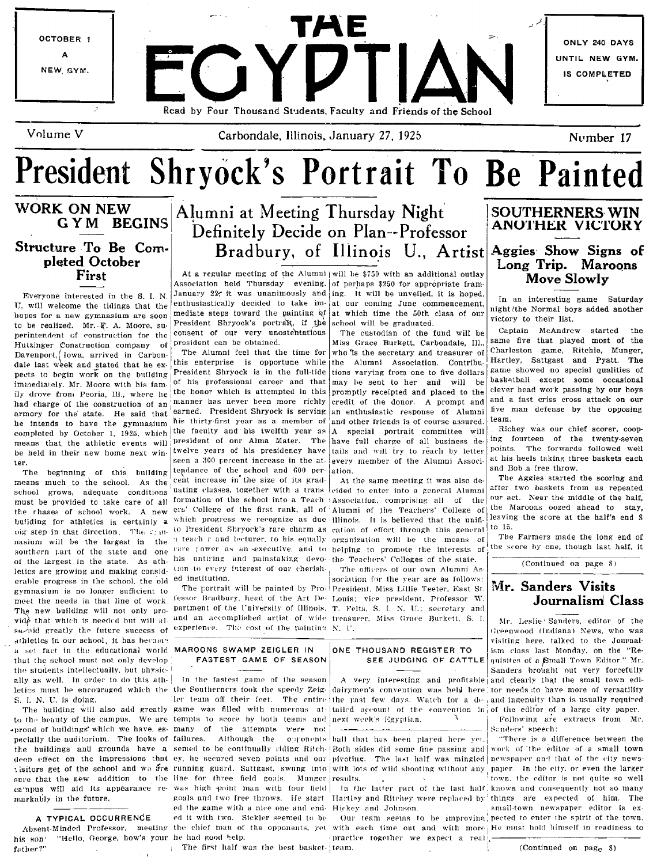

Volume V

Carbondale, Illinois, January 27, 1925

Number 17

# President Shryock's Portrait To Be Painted

### WORK ON NEW **GYM BEGINS** Structure To Be Completed October First

Everyone interested in the S. I. N. U. will welcome the tidings that the hopes for a new gymnasium are soon to be realized. Mr. F. A. Moore, superintendent of construction for the Hutzinger Construction company of Davenport, Iowa, arrived in Carbondale last week and stated that he expects to begin work on the building immediately. Mr. Moore with his family drove from Peoria, Ill., where he had charge of the construction of an armory for the state. He said that he intends to have the gymnasium completed by October 1, 1925, which means that the athletic events will be held in their new home next winter.

The beginning of this building means much to the school. As the school grows, adequate conditions must be provided to take care of all the rhases of school work. A new building for athletics is certainly a oig step in that direction. The symnasium will be the largest in the a teach r and lecturer, to his equally organization will be the means of southern part of the state and one of the largest in the state. As athletics are growing and making considerable progress in the school, the old ed institution. gymnasium is no longer sufficient to meet the needs in that line of work. The new building will not only provide that which is needed but will alsubject greatly the future success of experience. The cost of the painting N. U. athletics in our school, it has become a set fact in the educational world MAROONS SWAMP ZEIGLER IN that the school must not only develop the students intellectually, but physically as well. In order to do this ath-S. I. N. U. is doing.

\*proud of buildings' which we have, es- many of the attempts were not pecially the auditorium. The looks of failures. Although the markably in the future.

#### A TYPICAL OCCURRENCE

"Hello, George, how's your he had good help. his son' father?

## Alumni at Meeting Thursday Night Definitely Decide on Plan--Professor Bradbury, of Illinois U., Artist

Association held Thursday evening. of perhaps \$250 for appropriate fram-January 22, it was unanimously and ing. It will be unveiled, it is hoped, enthusiastically decided to take im- at our coming June commencement, mediate steps toward the painting of at which time the 50th class of our President Shryock's portrait, if the school will be graduated. consent of our very unostentatious president can be obtained.

The Alumni feel that the time for this enterprise is opportune while President Shryock is in the full-tide of his professional career and that may be sent to her and will be the honor which is attempted in this manner has never been more richly earned. President Shryock is serving his thirty-first year as a member of the faculty and his twelfth year as president of our Alma Mater. The have full charge of all business detwelve years of his presidency have tails and will try to reach by letter seen a 300 percent increase in the attendance of the school and 600 per-ation. cent increase in the size of its graduating classes, together with a trans formation of the school into a Teach 'Association, comprising all of the ers' College of the first rank, all of Alumni of the Teachers' College of which progress we recognize as due Illinois. It is believed that the unifito President Shryock's rare charm as cation of effort through this general rare jower as an executive, and to helping to promote the interests of his untiring and painstaking devo-the Teachers' Colleges of the state. tion to every interest of our cherish-

fessor Bradbury, head of the Art De- Louis; vice president, Professor W. partment of the University of Illinois. T. Felts, S. I. N. U.; secretary and and an accomplished artist of wide treasurer, Miss Grace Burkett, S. I.

## FASTEST GAME OF SEASON

In the fastest game of the season letics must be encouraged which the the Southerners took the speedy Zeig-dairymen's convention was held here tor needs to have more of versatility Her team off their feet. The entire the past few days. Watch for a de<sub>co</sub>and ingenuity than is usually required The building will also add greatly game was filled with numerous at lailed account of the convention in of the editor of a large city paper. to the beauty of the campus. We are tempts to score by both teams and next week's Egyptian. the buildings and grounds have a semed to be continually riding Ritch-Both sides did some fine passing and work of the editor of a small town deep effect on the impressions that ey, he secured seven points and our pivoting. The last half was mingled newspaper and that of the city newsvisitors get of the school and we are running guard. Sattgast, swung into with lots of wild shooting without any paper. In the city, or even the larger sure that the new addition to the line for three field goals. Munger results. campus will aid its appearance re- was high point man with four field In the latter part of the last half known and consequently not so many goals and two free throws. He start Hartley and Ritchey were replaced by things are expected of him. The ed the game with a nice one and end- Hickey and Johnson. ed it with two. Sickler seemed to be: Absent-Minded Professor, meeting the chief man of the opponents, yet with each time out and with more He must hold himself in readiness to

The first half was the best basket- team.

At a regular meeting of the Alumni will be \$750 with an additional outlay

The custodian of the fund will be Miss Grace Burkett, Carbondale, Ill., who is the secretary and treasurer of the Alumni Association. Contributions varying from one to five dollars promptly receipted and placed to the credit of the donor. A prompt and an enthusiastic response of Alumni and other friends is of course assured. A special portrait committee will every member of the Alumni Associ-

At the same meeting it was also decided to enter into a general Alumni

The officers of our own Alumni As sociation for the year are as follows: The portrait will be painted by Pro- President, Miss Lillie Teeter, East St.

#### ONE THOUSAND REGISTER TO SEE JUDGING OF CATTLE

opponents ball that has been played here yet.

practice together we expect a real

#### **SOUTHERNERS WIN** ANOTHER VICTORY

#### Aggies Show Signs of Long Trip. Maroons **Move Slowly**

In an interesting game Saturday night (the Normal boys added another victory to their list.

Captain McAndrew started the same five that played most of the Charleston game, Ritchie, Munger, Hartley, Sattgast and Pyatt. The game showed no special qualities of basketball except some occasional clever head work passing by our boys and a fast criss cross attack on our five man defense by the opposing team.

Richey was our chief scorer, cooping fourteen of the twenty-seven points. The forwards followed well at his heels taking three baskets each and Bob a free throw.

The Aggles started the scoring and after two baskets from us repeated our act. Near the middle of the half, the Maroons oozed ahead to stay, leaving the score at the half's end 8 to 15.

The Farmers made the long end of the score by one, though last half, it

(Continued on page 8)

#### Mr. Sanders Visits Journalism Class

Mr. Leslie Sanders, editor of the Greenwood (Indiana) News, who was visiting here, talked to the Journalism class last Monday, on the "Requisites of a Small Town Editor." Mr. Sanders brought out very forcefully A very interesting and profitable and clearly that the small town edi-

Following are extracts from Mr. Sunders' speech:

"There is a difference between the town, the editor is not quite so well small-town newspaper editor is ex-Our team seems to be improving, pected to enter the spirit of the town.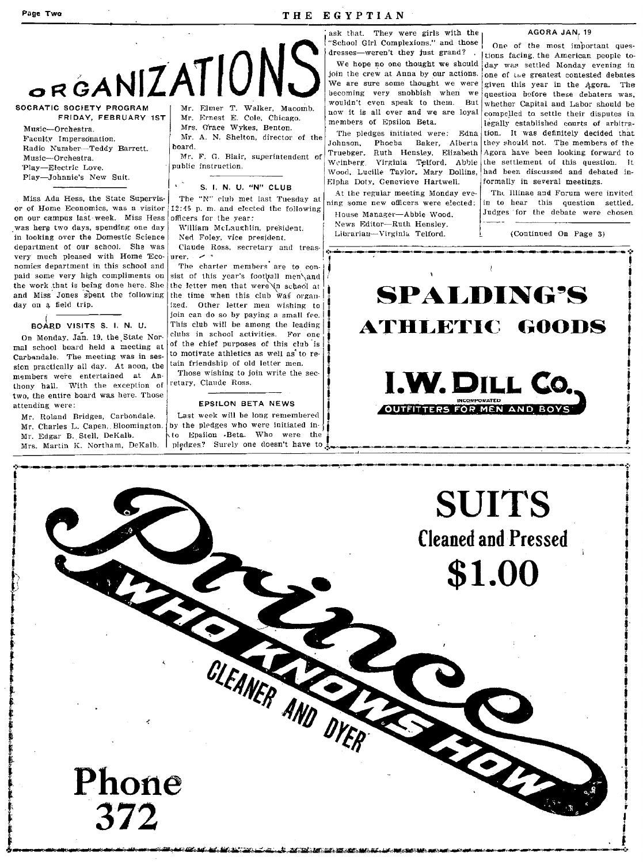#### Page Two

THE EGYPTIAN

ORGANIZATION SOCRATIC SOCIETY PROGRAM

FRIDAY, FEBRUARY 1ST Music-Orchestra. Faculty Impersonation.

Radio Number-Teddy Barrett. Music-Orchestra. Play-Electric Love. Play-Johnnie's New Suit.

Miss Ada Hess, the State Sunervisor of Home Economics, was a visitor on our campus last week. Miss Hess was here two days, spending one day in looking over the Domestic Science department of our school. She was very much pleased with Home Economics department in this school and paid some very high compliments on the work that is being done here. She and Miss Jones spent the following day on a field trin.

BOARD VISITS S. I. N. U.

On Monday, Jan. 19, the State Normal school board held a meeting at Carbandale. The meeting was in session practically all day. At noon, the members were entertained at Anthony hall. With the exception of two, the entire board was here. Those attending were:

Mr. Roland Bridges, Carbondale. Mr. Charles L. Capen. Bloomington. Mr. Edgar B. Stell, DeKalb. Mrs. Martin K. Northam, DeKalb.

Mr. Ernest E. Cole. Chicago. Mrs. Grace Wykes, Benton. Mr. A. N. Shelton, director of the

hoard. Mr. F. G. Blair, superintendent of

public instruction.

S. I. N. U. "N" CLUB

The "N" club met last Tuesday at 12:45 p.m. and elected the following officers for the vear:

William McLaughlin, president.

Ned Foley, vice president. Claude Ross, secretary and treasurer.  $\sim$ 

The charter members are to consist of this year's football men\and the letter men that were in school at the time when this club was organized. Other letter men wishing to join can do so by paying a small fee. This club will be among the leading clubs in school activities. For one of the chief purposes of this club is to motivate athletics as well as to re-

tain friendship of old letter men. Those wishing to join write the secretary, Claude Ross.

#### **EPSILON BETA NEWS**

Last week will be long remembered by the pledges who were initiated into Epsilon Beta. Who were the pledges? Surely one doesn't have to

ask that. They were girls with the "School Girl Complexions." and those

We hope no one thought we should ioin the crew at Anna by our actions. We are sure some thought we were becoming very snobbish when we wouldn't even speak to them. But now it is all over and we are loyal members of Epsilon Beta.

The pledges initiated were: Edna Johnson, Phoeba Baker, Alberta Truebger, Ruth Hensley, Elizabeth Weinberg, Virginia Telford. Abbie Wood, Lucille Taylor, Mary Dollins, Elpha Doty, Genevieve Hartwell.

At the regular meeting Monday evening some new officers were elected: House Manager-Abbie Wood. News Editor-Ruth Hensley.

Librarian-Virginia Telford.

#### AGORA JAN, 19

One of the most important quesdresses—weren't they just grand? I tions facing the American people today was settled Monday evening in one of the greatest contested debates given this year in the Agora. The question before these debaters was, whether Capital and Labor should be compelled to settle their disputes in legally established courts of arbitration. It was definitely decided that they should not. The members of the Agora have been looking forward to the settlement of this question. It had been discussed and debated informally in several meetings.

> The Illinae and Forum were invited in to hear this question settled. Judges for the debate were chosen

> > (Continued On Page 3)





<u> 1987 - Android Android (1987 - 1988 - 1988 - 1988 - 1988 - 1988 - 1988 - 1988 - 1988 - 1988 - 1988 - 1988 - 1</u>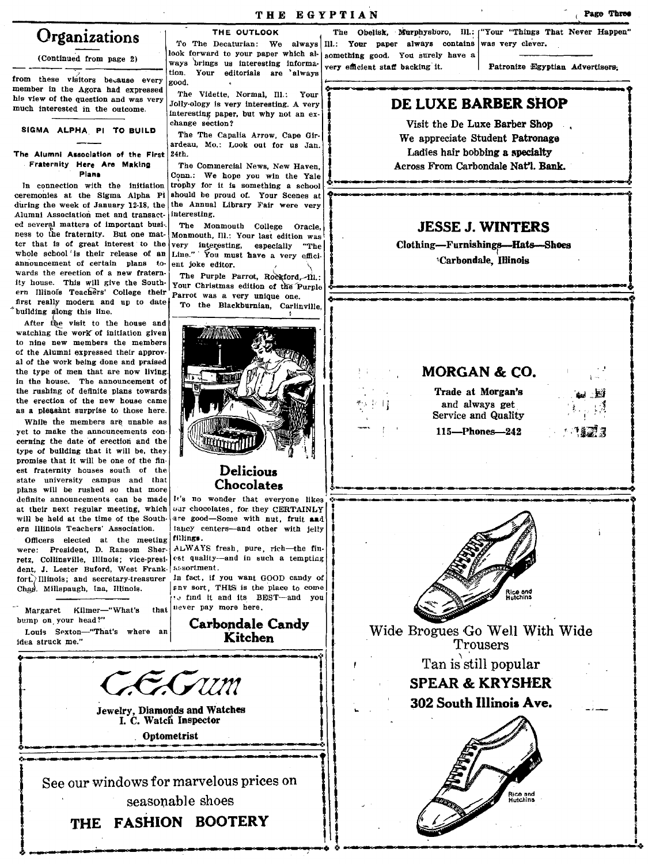(Continued from page 2)

from these visitors because every member in the Agora had expressed his view of the question and was very much interested in the outcome.

SIGMA ALPHA PI TO BUILD

#### The Alumni Association of the First  $24th$ . Fraternity Here Are Making Plana

In connection with the initiation ceremonies at the Sigma Alpha Pi during the week of January 12-18, the Alumni Association met and transacted several matters of important business to the fraternity. But one matter that is of great interest to the whole school' is their release of an announcement of certain plans towards the erection of a new fraternity house. This will give the Southern Illinois Teachers' College their first really modern and up to date building along this line.

After the visit to the house and watching the work of initiation given to nine new members the members of the Alumni expressed their approval of the work being done and praised the type of men that are now living. in the house. The announcement of the rushing of definite plans towards the erection of the new house came as a pleasant surprise to those here.

While the members are unable as yet to make the announcements concerning the date of erection and the type of building that it will be, they promise that it will be one of the finest fraternity houses south of the state university campus and that plans will be rushed so that more definite announcements can be made at their next regular meeting, which will be held at the time of the Southern Illinois Teachers' Association.

Officers elected at the meeting were: President, D. Ransom Sherretz, Collinsville, Illinois; vice-president, J. Lester Buford, West Frankfort. Illinois: and secretary-treasurer Chas. Millspaugh, Ina, Illinois.

Margaret Kilmer-"What's bump on your head?" Louis Sexton-"That's where an

idea struck me."

THE OUTLOOK To The Decaturian: We always III.: Your paper always contains was very clever. look forward to your paper which always brings us interesting information. Your editorials are always rood.

The Vidette, Normal, Ill.: Your Jolly-ology is very interesting. A very interesting paper, but why not an exchange section?

The The Capalia Arrow, Cape Girardeau, Mo.: Look out for us Jan.

The Commercial News, New Haven, Conn.: We hope you win the Yale trophy for it is something a school should be proud of. Your Scenes at the Annual Library Fair were very interesting.

The Monmouth College Oracle, Monmouth, Ill.: Your last edition was very interesting, especially "The Line." You must have a very efficient joke editor.

The Purple Parrot, Rockford, 11.: Your Christmas edition of the Purple Parrot was a very unique one.

To the Blackburnian, Carlinville.



#### **Delicious** Chocolates

It's no wonder that everyone likes our chocolates, for they CERTAINLY are good-Some with nut, fruit and tancy centers-and other with jelly

est quality-and in such a tempting assortment.

snv sort, THIS is the place to come o find it and its BEST-and you that uever pay more here.

> **Carbondale Candy** Kitchen

fillings. ALWAYS fresh, pure, rich-the fin-

Jewelry, Diamonds and Watches I. C. Watch Inspector Optometrist

See our windows for marvelous prices on seasonable shoes

THE FASHION BOOTERY

In fact, if you want GOOD candy of

something good. You surely have a very efficient staff backing it.

Patronize Egyptian Advertisers:

#### DE LUXE BARBER SHOP

Visit the De Luxe Barber Shop We appreciate Student Patronage Ladies hair bobbing a specialty Across From Carbondale Nat'l. Bank.

### **JESSE J. WINTERS**

Clothing-Furnishings-Hats-Shoes 'Carbondale, Illinois

### **MORGAN & CO.**

Trade at Morgan's and always get Service and Quality  $115 - Phones - 242$ 





Wide Brogues Go Well With Wide Trousers

Tan is still popular

**SPEAR & KRYSHER** 302 South Illinois Ave.



Page Three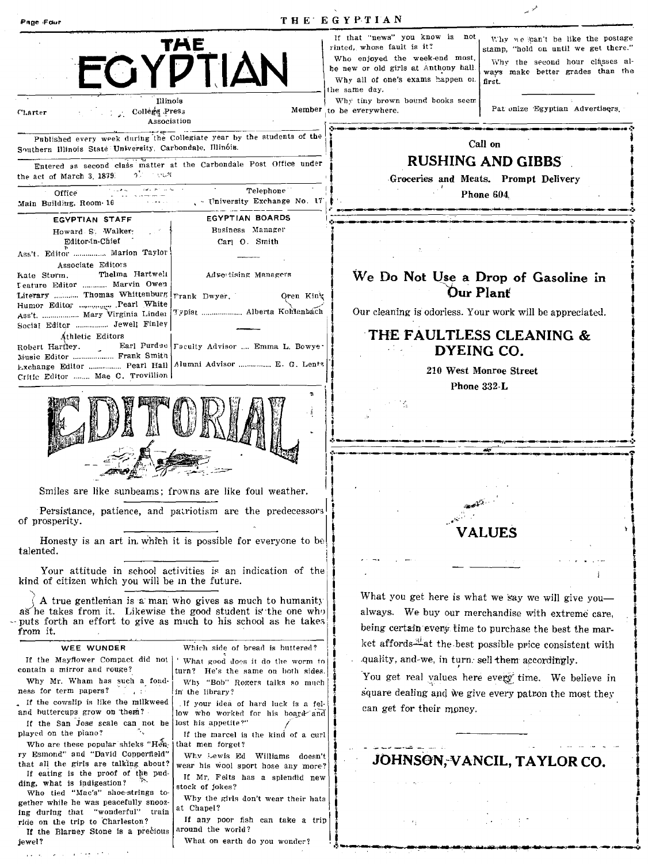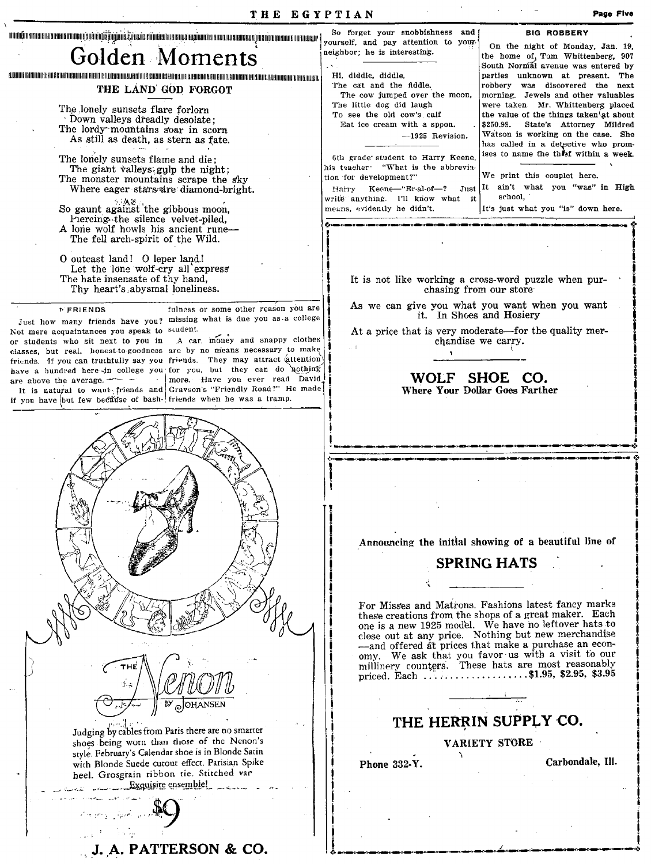| THE EGYPTIAN                                                                                                                                                                                                                                                                                 | Page Five                                                                                                                                                                                                                                                                                                       |
|----------------------------------------------------------------------------------------------------------------------------------------------------------------------------------------------------------------------------------------------------------------------------------------------|-----------------------------------------------------------------------------------------------------------------------------------------------------------------------------------------------------------------------------------------------------------------------------------------------------------------|
|                                                                                                                                                                                                                                                                                              | So forget your snobbishness<br>and<br><b>BIG ROBBERY</b><br>yourself, and pay attention to your-<br>On the night of Monday, Jan. 19,                                                                                                                                                                            |
| Golden Moments                                                                                                                                                                                                                                                                               | neighbor; he is interesting.<br>the home of Tom Whittenberg, 907<br>South Normal avenue was entered by                                                                                                                                                                                                          |
| THE LAND GOD FORGOT                                                                                                                                                                                                                                                                          | Hi, diddle, diddle,<br>parties unknown at present. The<br>The cat and the fiddle,<br>robbery was discovered the next<br>The cow jumped over the moon,<br>morning. Jewels and other valuables                                                                                                                    |
| The lonely sunsets flare forlorn<br>Down valleys dreadly desolate:<br>The lordy mountains soar in scorn<br>As still as death, as stern as fate.                                                                                                                                              | The little dog did laugh<br>were taken. Mr. Whittenberg placed<br>To see the old cow's calf<br>the value of the things taken at about<br>\$250.99.<br>State's Attorney Mildred<br>Eat ice cream with a spoon.<br>Watson is working on the case. She<br>$-1925$ Revision.<br>has called in a detective who prom- |
| The lonely sunsets flame and die:<br>The giant valleys gulp the night;<br>The monster mountains scrape the sky<br>Where eager stars are diamond-bright.                                                                                                                                      | ises to name the theet within a week.<br>6th grade student to Harry Keene,<br>his teacher. "What is the abbrevia-<br>We print this couplet here.<br>tion for development?"<br>It ain't what you "was" in High<br>Harry Keene-"Er-al-of-?<br>Just<br>school,                                                     |
| So gaunt against the gibbous moon,<br>Piercing the silence velvet-piled,<br>A lone wolf howls his ancient rune—                                                                                                                                                                              | write anything. I'll know what it<br>means, evidently he didn't.<br>It's just what you "is" down here.                                                                                                                                                                                                          |
| The fell arch-spirit of the Wild.                                                                                                                                                                                                                                                            |                                                                                                                                                                                                                                                                                                                 |
| O outcast land! O leper land!<br>Let the lone wolf-cry all express<br>The hate insensate of thy hand,                                                                                                                                                                                        | It is not like working a cross-word puzzle when pur-                                                                                                                                                                                                                                                            |
| Thy heart's abysmal loneliness.<br>fulness or some other reason you are<br><b>FRIENDS</b>                                                                                                                                                                                                    | chasing from our store<br>As we can give you what you want when you want                                                                                                                                                                                                                                        |
| missing what is due you as a college<br>Just how many friends have you?<br>Not mere acquaintances you speak to scudent.<br>A car, money and snappy clothes                                                                                                                                   | it. In Shoes and Hosiery<br>At a price that is very moderate—for the quality mer-                                                                                                                                                                                                                               |
| or students who sit next to you in<br>classes, but real, honest-to-goodness are by no means necessary to make<br>friends. If you can truthfully say you friends. They may attract (attention)                                                                                                | chandise we carry.                                                                                                                                                                                                                                                                                              |
| have a hundred here in college you for you, but they can do nothing<br>more. Have you ever read David<br>are above the average. $  -$<br>$\sim$<br>It is natural to want friends and Gravson's "Friendly Road?" He made<br>if you have but few because of bash- friends when he was a tramp. | WOLF SHOE CO.<br><b>Where Your Dollar Goes Farther</b>                                                                                                                                                                                                                                                          |
|                                                                                                                                                                                                                                                                                              |                                                                                                                                                                                                                                                                                                                 |
|                                                                                                                                                                                                                                                                                              |                                                                                                                                                                                                                                                                                                                 |
|                                                                                                                                                                                                                                                                                              |                                                                                                                                                                                                                                                                                                                 |
|                                                                                                                                                                                                                                                                                              |                                                                                                                                                                                                                                                                                                                 |
|                                                                                                                                                                                                                                                                                              | Announcing the initial showing of a beautiful line of                                                                                                                                                                                                                                                           |
|                                                                                                                                                                                                                                                                                              | <b>SPRING HATS</b>                                                                                                                                                                                                                                                                                              |
|                                                                                                                                                                                                                                                                                              | For Misses and Matrons. Fashions latest fancy marks<br>these creations from the shops of a great maker. Each<br>one is a new 1925 model. We have no leftover hats to<br>close out at any price. Nothing but new merchandise<br>-and offered at prices that make a purchase an econ-                             |
| THE                                                                                                                                                                                                                                                                                          | omy. We ask that you favor us with a visit to our<br>millinery counters. These hats are most reasonably<br>priced. Each \$1.95, \$2.95, \$3.95                                                                                                                                                                  |
|                                                                                                                                                                                                                                                                                              | THE HERRIN SUPPLY CO.                                                                                                                                                                                                                                                                                           |
| Judging by cables from Paris there are no smarter<br>shoes being worn than those of the Nenon's                                                                                                                                                                                              | <b>VARIETY STORE</b>                                                                                                                                                                                                                                                                                            |
| style. February's Calendar shoe is in Blonde Satin<br>with Blonde Suede cutout effect. Parisian Spike<br>heel. Grosgrain ribbon tie. Stitched var                                                                                                                                            | Carbondale, Ill.<br>Phone 332-Y.                                                                                                                                                                                                                                                                                |
| Exquisite ensemble!                                                                                                                                                                                                                                                                          |                                                                                                                                                                                                                                                                                                                 |
|                                                                                                                                                                                                                                                                                              |                                                                                                                                                                                                                                                                                                                 |
| J. A. PATTERSON & CO.                                                                                                                                                                                                                                                                        |                                                                                                                                                                                                                                                                                                                 |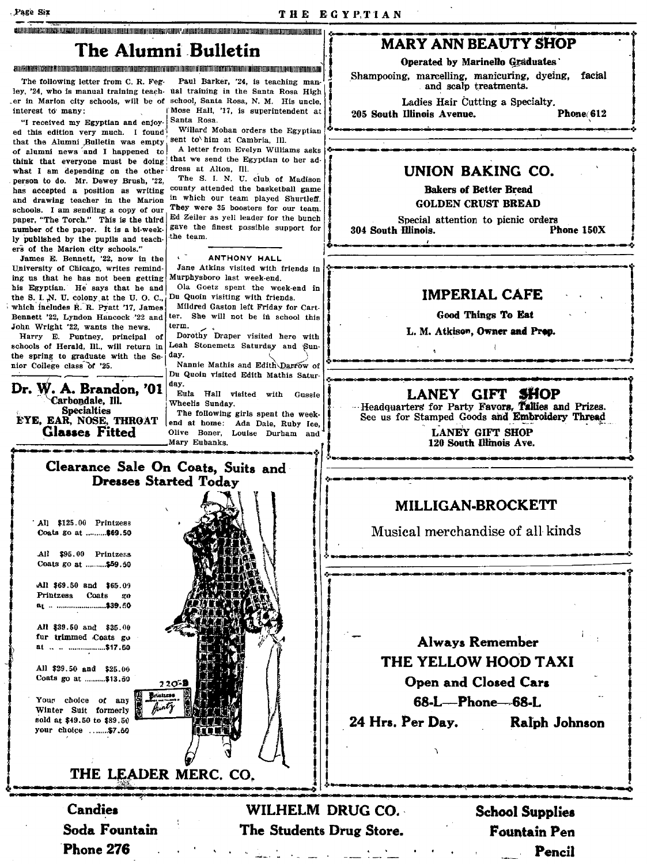#### en med andere andere andere andere andere mangement mangement andere andere andere andere andere andere ander

### The Alumni Bulletin

a sub a component a component and a composition of the contract of the contract of the contract of the contract of the contract of the contract of the contract of the contract of the contract of the contract of the contrac

The following letter from C. R. Feginterest to many.

"I received my Egyptian and enjoy. Santa Rosa. ed this edition very much. I found that the Alumni Bulletin was empty sent to him at Cambria. Ill. of alumni news and I happened to think that everyone must be doing that we send the Egyptian to her adwhat I am depending on the other dress at Alton, Ill. person to do. Mr. Dewey Brush, '22, has accepted a position as writing and drawing teacher in the Marion schools. I am sendiing a copy of our paper, "The Torch." This is the third number of the paper. It is a bi-weekly published by the pupils and teachers of the Marion city schools."

James E. Bennett, '22, now in the University of Chicago, writes reminding us that he has not been getting his Egyptian. He says that he and the S. I. N. U. colony at the U. O. C., which includes R. R. Pyatt '17, James Bennett '22. Lyndon Hancock '22 and John Wright '22, wants the news.

Harry E. Puntney, principal of schools of Herald, Ill., will return in the spring to graduate with the Senior College class of '25.

Dr. W. A. Brandon, '01 Carbondale, Ill. Specialties<br>EYE, EAR, NOSE, THROAT **Glasses Fitted** 

Paul Barker, '24, is teaching manley, '24, who is manual training teach- ual training in the Santa Rosa High er in Marion city schools, will be of school, Santa Rosa, N. M. His uncle. Mose Hall, '17, is superintendent at

Willard Mohan orders the Egyptian

A letter from Evelyn Williams asks

The S. I. N. U. club of Madison county attended the basketball game in which our team played Shurtleff. They were 35 boosters for our team. Ed Zeiler as yell leader for the bunch gave the finest possible support for the team.

#### ANTHONY HALL

Jane Atkins visited with friends in Murphysboro last week-end.

Ola Goetz spent the week-end in Du Quoin visiting with friends.

Mildred Gaston left Friday for Cartter. She will not be in school this term.

Dorothy Draper visited here with Leah Stonemetz Saturday and Sundav.

Nannie Mathis and Edith Darrow of Du Quoin visited Edith Mathis Saturdav.

Eula Hall visited with Gussie Wheelis Sunday.

The following girls spent the weekend at home: Ada Dale, Ruby Ice, Olive Boner, Louise Durham and Mary Eubanks.

#### **MARY ANN BEAUTY SHOP**

Operated by Marinello Graduates

Shampooing, marcelling, manicuring, dyeing, facial and scalp treatments.

Ladies Hair Cutting a Specialty.

205 South Illinois Avenue.

Phone 612

#### **UNION BAKING CO.**

**Bakers of Better Bread GOLDEN CRUST BREAD** 

Special attention to picnic orders 304 South Illinois. Phone 150X

**IMPERIAL CAFE** 

Good Things To Eat

L. M. Atkison, Owner and Prop.

#### LANEY GIFT SHOP

Headquarters for Party Favors, Tallies and Prizes. See us for Stamped Goods and Embroidery Thread

> **LANEY GIFT SHOP** 120 South Illinois Ave.

#### MILLIGAN-BROCKETT

Musical merchandise of all kinds

**Always Remember** THE YELLOW HOOD TAXI **Open and Closed Cars** 68-L-Phone-68-L 24 Hrs. Per Dav. Ralph Johnson

WILHELM DRUG CO. The Students Drug Store.

**School Supplies Fountain Pen** Pencil



Clearance Sale On Coats, Suits and **Dresses Started Todav** 

Candies Soda Fountain Phone 276

Your choice of any Winter Suit formerly sold at \$49.50 to \$89.50 your choice .......\$7.50

THE LEADER MERC. CO.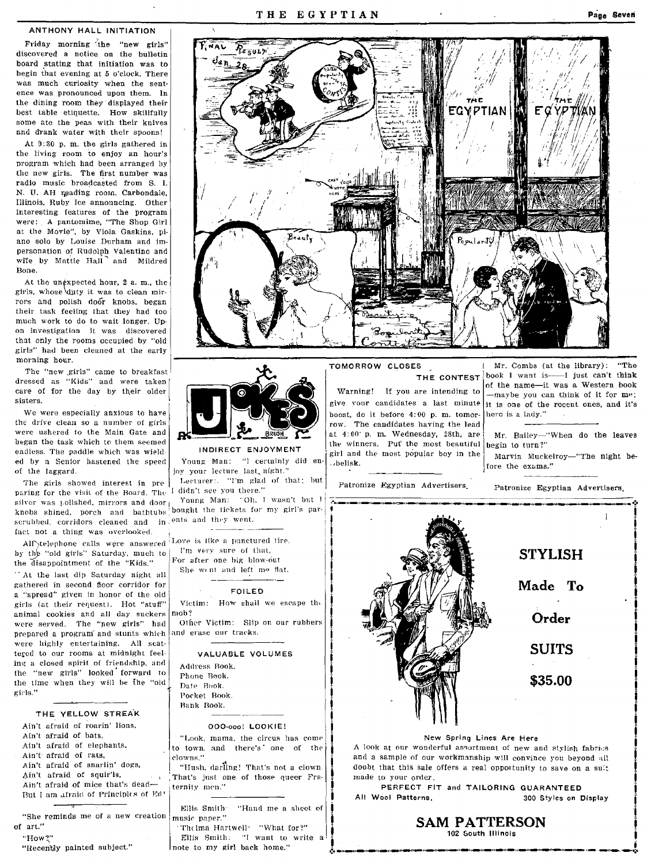#### ANTHONY HALL INITIATION

Friday morning the "new girls" discovered a notice on the bulletin board stating that initiation was to begin that evening at 5 o'clock. There was much curiosity when the sentence was pronounced upon them. In the dining room they displayed their best table etiquette. How skillfully some ate the peas with their knives and drank water with their spoons!

At 9: SO p. m. the girls gathered in the living room to enjoy an hour's program which had been arranged by the new girls. The first number was radio music broadcasted from S. I. N. U. AH reading room, Carbondale, Illinois, Ruby Ice announcing. Other interesting features of the program were: A pantomime, "The Shop Girl at the Movie", by Viola Gaskins, piano solo by Louise Durham and impersonation of Rudolph Valentino and wite by Mattie Hall and Mildred Bone.

At the unexpected hour, 2 a.m., the girls. whose \dJIty it was to clean mirrors and polish door knobs, began their task feeling that they had too much work to do to wait longer. Up· on investigation it was discovered that only the rooms occupied by "old girls" had been cleaned at the early morning hour.

The "new girls" came to breakfast dressed as "Kids" and were taken care of for the day by their older sisters.

We were especially anxious to have the drive clean so a number of girls were ushered to the Main Gate and began the task which to them seemed **the second term is a second to the set of the most beautiful begin to turn?"**<br>endless. The paddle which was wield **INDIRECT ENJOYMENT** ed by a Senior hastened the speed Young-Man: "I certainly did en- "helisk. The exams." serves are nice the exams." of the laggard.

paring for the visit of the Board. The I didn't see you there." silver was polished, mirrors and door <sub>I</sub> Young Man: "Oh. I wasn't but I knobs shined, porch and bathtubs bought the tickets for my girl's parscruhbed, corridors cleaned and in ents and they went. fact not a thing was overlooked.

by the "old girls" Saturday, much to  $\vert$  I'm very sure of that, the disappointment of the "Kide".

At the last dip Saturday night all gathered in second floor corridor for a "spread" given in honor of the old FOILED<br>girls (at their request). Hot "stuff" Victim: How shall we escape the girls (at their request). Hot "stuff" Victims animal cookies and all day suckers nob? animal cookies and all day suckers nob?<br>wore served. The "new girls" had Other Victim: Slip on our rubbers were served. The "new girls" had prepared a program and stunts which and erase our tracks. were highly entertaining. All scattered to our rooms at midnight feel· ing a closed spirit of friendship, and the "new girls" looked forward to the time when they will be the "old girls."

THE YELLOW STREA'K

Ain't afraid of roarin' lions, Ain't afraid of bats, Ain't afraid of elephants. Ain't afraid of rats, Ain't afraid of snarlin' dogs, Ain't afraid of squir'ls. Ain't afraid of mice that's dead-But I am afraid of Principles of Ed'

"She reminds me of a new Creation of art." "How?"

"Recently painted subject."





The girls showed interest in pre Lecturer:. "I'm glad of that; but

All'\telephone calls were answered: Love is like a punctured tire,<br>is the "old girls" Saturday, punch to T'm very sure of that,

the disappointment of the "Kids."  $\left| \begin{array}{c} \text{For after one big blow-out} \\ \text{She worth and left me flat.} \end{array} \right|$ 

#### VALUABLE VOLUMES

| Address Book. |  |  |  |  |
|---------------|--|--|--|--|
| Phone Book.   |  |  |  |  |
| Date Book.    |  |  |  |  |
| Pocket Book.  |  |  |  |  |
| Bank Book.    |  |  |  |  |
|               |  |  |  |  |

#### OOO-ooo! LOOKIE!

"Look, mama, the circus has come to town. and there's' one of the clowns."

"Hush, darling! That's not a clown That's just one of those queer Fraternity men."

1

Ellis Smith "Hand me a sheet of music paper."

. Thelma HartwQIl' "What for?" Ellis Smith. "I want to write a Inote to my girl back home."

Warning! If you are intending to boost, do it before  $4:00$  p. m. tomor-<br>row. The candidates having the lead  $\begin{bmatrix} \text{here} \\ \text{...} \end{bmatrix}$ at  $4:00'$  p. m. Wednesday, 28th, are Mr. Bailey-"When do the leaves INDIRECT ENJOYMENT in each can be popular boy in the Marvin Muckelroy-"The night be-<br>Young Man: "I certainly did en. belisk.

Patronize Egyptian Advertisers. Patronize Egyptian Advertisers.

TOMORROW CLOSES [Mr. Combs (at the library): "The THE CONTEST  $\vert$  book 1 want is  $\frac{1}{\sqrt{2}}$  just can't think of the name-it was a Western book<br>-maybe you can think of it for me; give your candidates a last minute it is one of the recent ones, and it's



1 New Spring Lines Are Here<br>1 I I A look at our wonderful assortment of new and stylish fabrics and a sample of our workmanship will convince you beyond all doubt that this sale offers a real opportunity to save on a suit made to your order.

PERFECT FIT and TAILORING GUARANTEED , All Wool Aatterns. 300 Styles on Display I , i

SAM PATTERSON t:. i \_\_\_\_\_\_ ,~·\_.\_\_, \_\_\_\_\_ · \_\_ ,\_·\_.\_\_·\_ **--\_.;-**<sup>i</sup>